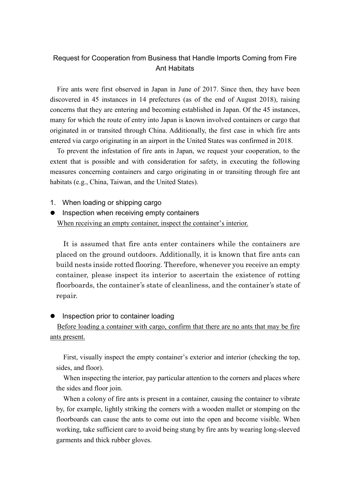## Request for Cooperation from Business that Handle Imports Coming from Fire Ant Habitats

Fire ants were first observed in Japan in June of 2017. Since then, they have been discovered in 45 instances in 14 prefectures (as of the end of August 2018), raising concerns that they are entering and becoming established in Japan. Of the 45 instances, many for which the route of entry into Japan is known involved containers or cargo that originated in or transited through China. Additionally, the first case in which fire ants entered via cargo originating in an airport in the United States was confirmed in 2018.

To prevent the infestation of fire ants in Japan, we request your cooperation, to the extent that is possible and with consideration for safety, in executing the following measures concerning containers and cargo originating in or transiting through fire ant habitats (e.g., China, Taiwan, and the United States).

- 1. When loading or shipping cargo
- Inspection when receiving empty containers When receiving an empty container, inspect the container's interior.

It is assumed that fire ants enter containers while the containers are placed on the ground outdoors. Additionally, it is known that fire ants can build nests inside rotted flooring. Therefore, whenever you receive an empty container, please inspect its interior to ascertain the existence of rotting floorboards, the container's state of cleanliness, and the container's state of repair.

Inspection prior to container loading Before loading a container with cargo, confirm that there are no ants that may be fire ants present.

First, visually inspect the empty container's exterior and interior (checking the top, sides, and floor).

When inspecting the interior, pay particular attention to the corners and places where the sides and floor join.

When a colony of fire ants is present in a container, causing the container to vibrate by, for example, lightly striking the corners with a wooden mallet or stomping on the floorboards can cause the ants to come out into the open and become visible. When working, take sufficient care to avoid being stung by fire ants by wearing long-sleeved garments and thick rubber gloves.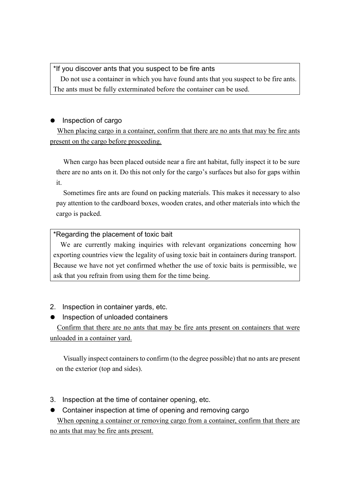## \*If you discover ants that you suspect to be fire ants

Do not use a container in which you have found ants that you suspect to be fire ants. The ants must be fully exterminated before the container can be used.

# • Inspection of cargo

When placing cargo in a container, confirm that there are no ants that may be fire ants present on the cargo before proceeding.

When cargo has been placed outside near a fire ant habitat, fully inspect it to be sure there are no ants on it. Do this not only for the cargo's surfaces but also for gaps within it.

Sometimes fire ants are found on packing materials. This makes it necessary to also pay attention to the cardboard boxes, wooden crates, and other materials into which the cargo is packed.

### \*Regarding the placement of toxic bait

We are currently making inquiries with relevant organizations concerning how exporting countries view the legality of using toxic bait in containers during transport. Because we have not yet confirmed whether the use of toxic baits is permissible, we ask that you refrain from using them for the time being.

- 2. Inspection in container yards, etc.
- **•** Inspection of unloaded containers

Confirm that there are no ants that may be fire ants present on containers that were unloaded in a container yard.

Visually inspect containers to confirm (to the degree possible) that no ants are present on the exterior (top and sides).

- 3. Inspection at the time of container opening, etc.
- Container inspection at time of opening and removing cargo When opening a container or removing cargo from a container, confirm that there are

no ants that may be fire ants present.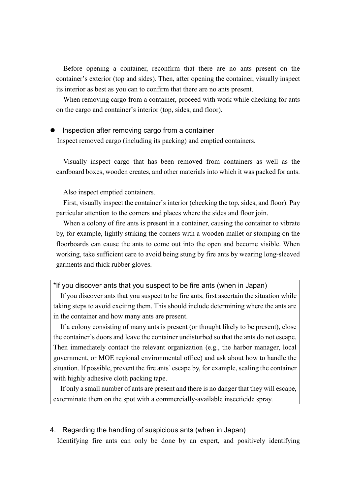Before opening a container, reconfirm that there are no ants present on the container's exterior (top and sides). Then, after opening the container, visually inspect its interior as best as you can to confirm that there are no ants present.

When removing cargo from a container, proceed with work while checking for ants on the cargo and container's interior (top, sides, and floor).

# Inspection after removing cargo from a container Inspect removed cargo (including its packing) and emptied containers.

Visually inspect cargo that has been removed from containers as well as the cardboard boxes, wooden creates, and other materials into which it was packed for ants.

Also inspect emptied containers.

First, visually inspect the container's interior (checking the top, sides, and floor). Pay particular attention to the corners and places where the sides and floor join.

When a colony of fire ants is present in a container, causing the container to vibrate by, for example, lightly striking the corners with a wooden mallet or stomping on the floorboards can cause the ants to come out into the open and become visible. When working, take sufficient care to avoid being stung by fire ants by wearing long-sleeved garments and thick rubber gloves.

\*If you discover ants that you suspect to be fire ants (when in Japan)

If you discover ants that you suspect to be fire ants, first ascertain the situation while taking steps to avoid exciting them. This should include determining where the ants are in the container and how many ants are present.

If a colony consisting of many ants is present (or thought likely to be present), close the container's doors and leave the container undisturbed so that the ants do not escape. Then immediately contact the relevant organization (e.g., the harbor manager, local government, or MOE regional environmental office) and ask about how to handle the situation. If possible, prevent the fire ants' escape by, for example, sealing the container with highly adhesive cloth packing tape.

If only a small number of ants are present and there is no danger that they will escape, exterminate them on the spot with a commercially-available insecticide spray.

### 4. Regarding the handling of suspicious ants (when in Japan)

Identifying fire ants can only be done by an expert, and positively identifying